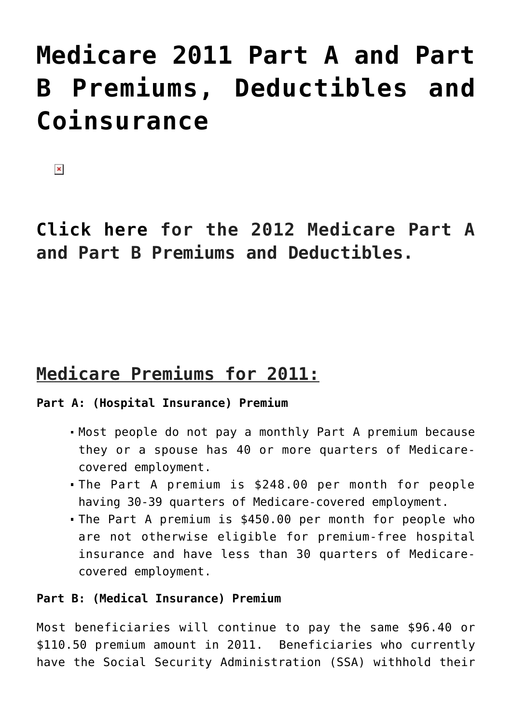# **[Medicare 2011 Part A and Part](https://managemypractice.com/medicare-2011-part-a-and-part-b-premiums-deductibles-and-coinsurance/) [B Premiums, Deductibles and](https://managemypractice.com/medicare-2011-part-a-and-part-b-premiums-deductibles-and-coinsurance/) [Coinsurance](https://managemypractice.com/medicare-2011-part-a-and-part-b-premiums-deductibles-and-coinsurance/)**

 $\pmb{\times}$ 

**[Click here](http://bit.ly/vFNbQV) [f](http://bit.ly/vFNbQV)or the 2012 Medicare Part A and Part B Premiums and Deductibles.**

### **Medicare Premiums for 2011:**

#### **Part A: (Hospital Insurance) Premium**

- Most people do not pay a monthly Part A premium because they or a spouse has 40 or more quarters of Medicarecovered employment.
- The Part A premium is \$248.00 per month for people having 30-39 quarters of Medicare-covered employment.
- The Part A premium is \$450.00 per month for people who are not otherwise eligible for premium-free hospital insurance and have less than 30 quarters of Medicarecovered employment.

#### **Part B: (Medical Insurance) Premium**

Most beneficiaries will continue to pay the same \$96.40 or \$110.50 premium amount in 2011. Beneficiaries who currently have the Social Security Administration (SSA) withhold their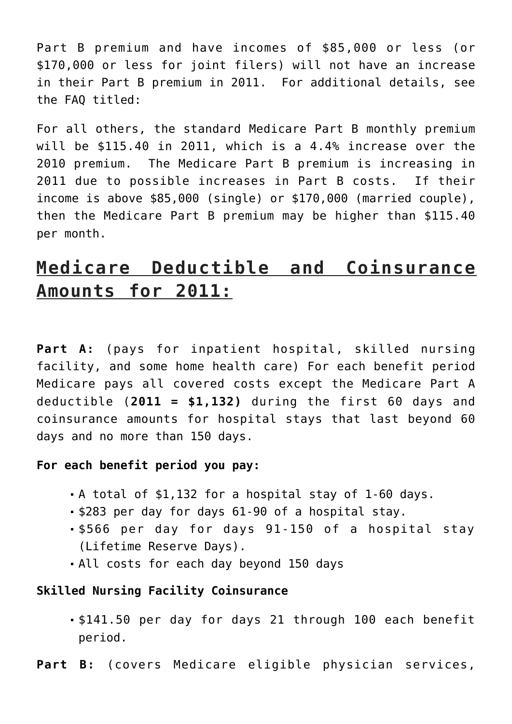Part B premium and have incomes of \$85,000 or less (or \$170,000 or less for joint filers) will not have an increase in their Part B premium in 2011. For additional details, see the FAQ titled:

For all others, the standard Medicare Part B monthly premium will be \$115.40 in 2011, which is a 4.4% increase over the 2010 premium. The Medicare Part B premium is increasing in 2011 due to possible increases in Part B costs. If their income is above \$85,000 (single) or \$170,000 (married couple), then the Medicare Part B premium may be higher than \$115.40 per month.

## **Medicare Deductible and Coinsurance Amounts for 2011:**

**Part A:** (pays for inpatient hospital, skilled nursing facility, and some home health care) For each benefit period Medicare pays all covered costs except the Medicare Part A deductible (**2011 = \$1,132)** during the first 60 days and coinsurance amounts for hospital stays that last beyond 60 days and no more than 150 days.

#### **For each benefit period you pay:**

- A total of \$1,132 for a hospital stay of 1-60 days.
- **\$283 per day for days 61-90 of a hospital stay.**
- \$566 per day for days 91-150 of a hospital stay (Lifetime Reserve Days).
- All costs for each day beyond 150 days

#### **Skilled Nursing Facility Coinsurance**

- \$141.50 per day for days 21 through 100 each benefit period.
- Part B: (covers Medicare eligible physician services,